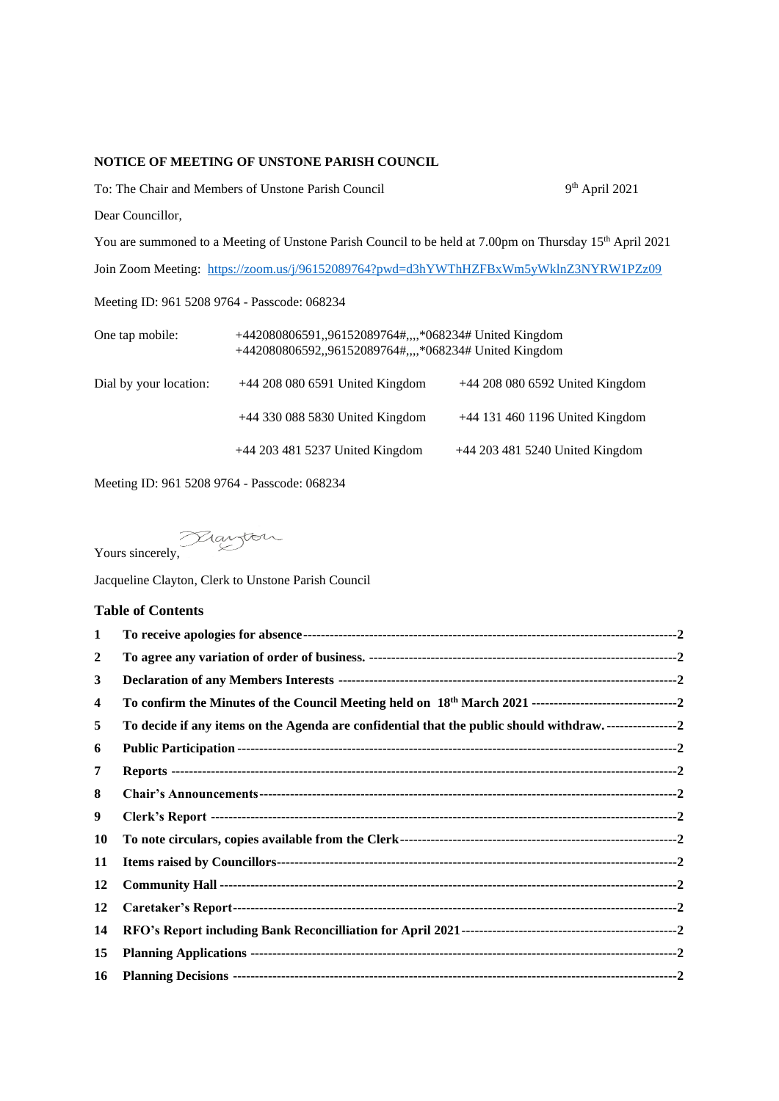## **NOTICE OF MEETING OF UNSTONE PARISH COUNCIL**

To: The Chair and Members of Unstone Parish Council 9

9<sup>th</sup> April 2021

Dear Councillor,

You are summoned to a Meeting of Unstone Parish Council to be held at 7.00pm on Thursday 15<sup>th</sup> April 2021 Join Zoom Meeting:<https://zoom.us/j/96152089764?pwd=d3hYWThHZFBxWm5yWklnZ3NYRW1PZz09>

Meeting ID: 961 5208 9764 - Passcode: 068234

| One tap mobile:        | +442080806591,,96152089764#,,,,*068234# United Kingdom<br>+442080806592,,96152089764#,,,,*068234# United Kingdom |                                   |  |
|------------------------|------------------------------------------------------------------------------------------------------------------|-----------------------------------|--|
| Dial by your location: | $+44$ 208 080 6591 United Kingdom                                                                                | +44 208 080 6592 United Kingdom   |  |
|                        | $+44$ 330 088 5830 United Kingdom                                                                                | $+44$ 131 460 1196 United Kingdom |  |
|                        | +44 203 481 5237 United Kingdom                                                                                  | +44 203 481 5240 United Kingdom   |  |

Meeting ID: 961 5208 9764 - Passcode: 068234

Yours sincerely,

Jacqueline Clayton, Clerk to Unstone Parish Council

## **Table of Contents**

| $\mathbf{1}$ |                                                                                                                |
|--------------|----------------------------------------------------------------------------------------------------------------|
| $\mathbf{2}$ |                                                                                                                |
| 3            |                                                                                                                |
| 4            |                                                                                                                |
| 5            | To decide if any items on the Agenda are confidential that the public should withdraw. ----------------------2 |
| 6            |                                                                                                                |
| 7            |                                                                                                                |
| 8            |                                                                                                                |
| 9            |                                                                                                                |
| 10           |                                                                                                                |
| 11           |                                                                                                                |
| 12           |                                                                                                                |
| 12           |                                                                                                                |
| 14           |                                                                                                                |
| 15           |                                                                                                                |
| 16           |                                                                                                                |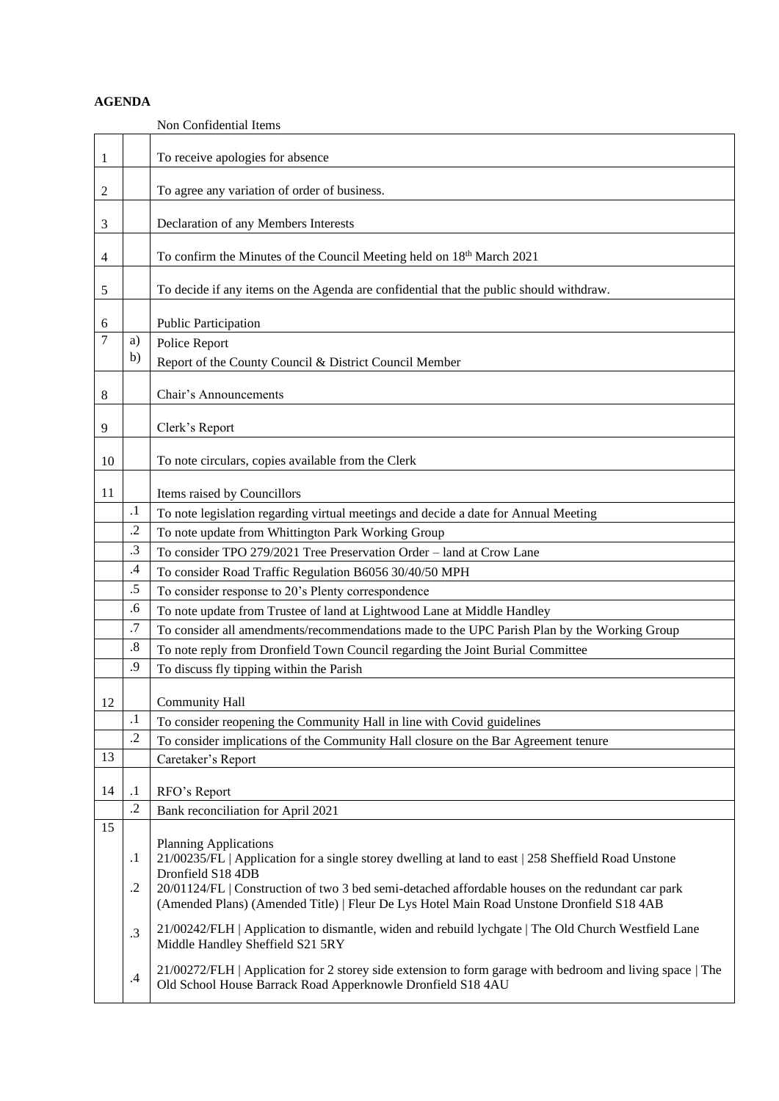## **AGENDA**

<span id="page-1-12"></span><span id="page-1-11"></span><span id="page-1-10"></span><span id="page-1-9"></span><span id="page-1-8"></span><span id="page-1-7"></span><span id="page-1-6"></span><span id="page-1-5"></span><span id="page-1-4"></span><span id="page-1-3"></span><span id="page-1-2"></span><span id="page-1-1"></span><span id="page-1-0"></span>

|                |           | Non Confidential Items                                                                                                                                                                        |
|----------------|-----------|-----------------------------------------------------------------------------------------------------------------------------------------------------------------------------------------------|
| 1              |           | To receive apologies for absence                                                                                                                                                              |
| 2              |           | To agree any variation of order of business.                                                                                                                                                  |
| 3              |           | Declaration of any Members Interests                                                                                                                                                          |
| 4              |           | To confirm the Minutes of the Council Meeting held on 18th March 2021                                                                                                                         |
| 5              |           | To decide if any items on the Agenda are confidential that the public should withdraw.                                                                                                        |
| 6              |           | Public Participation                                                                                                                                                                          |
| $\overline{7}$ | a)        | Police Report                                                                                                                                                                                 |
|                | b)        | Report of the County Council & District Council Member                                                                                                                                        |
| 8              |           | Chair's Announcements                                                                                                                                                                         |
| 9              |           | Clerk's Report                                                                                                                                                                                |
| 10             |           | To note circulars, copies available from the Clerk                                                                                                                                            |
|                |           |                                                                                                                                                                                               |
| 11             |           | Items raised by Councillors                                                                                                                                                                   |
|                | $\cdot$   | To note legislation regarding virtual meetings and decide a date for Annual Meeting                                                                                                           |
|                | $\cdot$   | To note update from Whittington Park Working Group                                                                                                                                            |
|                | .3        | To consider TPO 279/2021 Tree Preservation Order - land at Crow Lane                                                                                                                          |
|                | $\cdot$ 4 | To consider Road Traffic Regulation B6056 30/40/50 MPH                                                                                                                                        |
|                | .5        | To consider response to 20's Plenty correspondence                                                                                                                                            |
|                | .6        | To note update from Trustee of land at Lightwood Lane at Middle Handley                                                                                                                       |
|                | .7        | To consider all amendments/recommendations made to the UPC Parish Plan by the Working Group                                                                                                   |
|                | .8        | To note reply from Dronfield Town Council regarding the Joint Burial Committee                                                                                                                |
|                | .9        | To discuss fly tipping within the Parish                                                                                                                                                      |
| 12             |           | <b>Community Hall</b>                                                                                                                                                                         |
|                | $\cdot$   | To consider reopening the Community Hall in line with Covid guidelines                                                                                                                        |
|                | $\cdot$   | To consider implications of the Community Hall closure on the Bar Agreement tenure                                                                                                            |
| 13             |           | Caretaker's Report                                                                                                                                                                            |
| 14             | $\cdot$   | RFO's Report                                                                                                                                                                                  |
|                | $\cdot$   | Bank reconciliation for April 2021                                                                                                                                                            |
| 15             |           |                                                                                                                                                                                               |
|                | $\cdot$   | <b>Planning Applications</b><br>21/00235/FL   Application for a single storey dwelling at land to east   258 Sheffield Road Unstone                                                           |
|                |           | Dronfield S18 4DB                                                                                                                                                                             |
|                | .2        | 20/01124/FL   Construction of two 3 bed semi-detached affordable houses on the redundant car park<br>(Amended Plans) (Amended Title)   Fleur De Lys Hotel Main Road Unstone Dronfield S18 4AB |
|                | .3        | 21/00242/FLH   Application to dismantle, widen and rebuild lychgate   The Old Church Westfield Lane<br>Middle Handley Sheffield S21 5RY                                                       |
|                | $\cdot$ 4 | 21/00272/FLH   Application for 2 storey side extension to form garage with bedroom and living space   The<br>Old School House Barrack Road Apperknowle Dronfield S18 4AU                      |